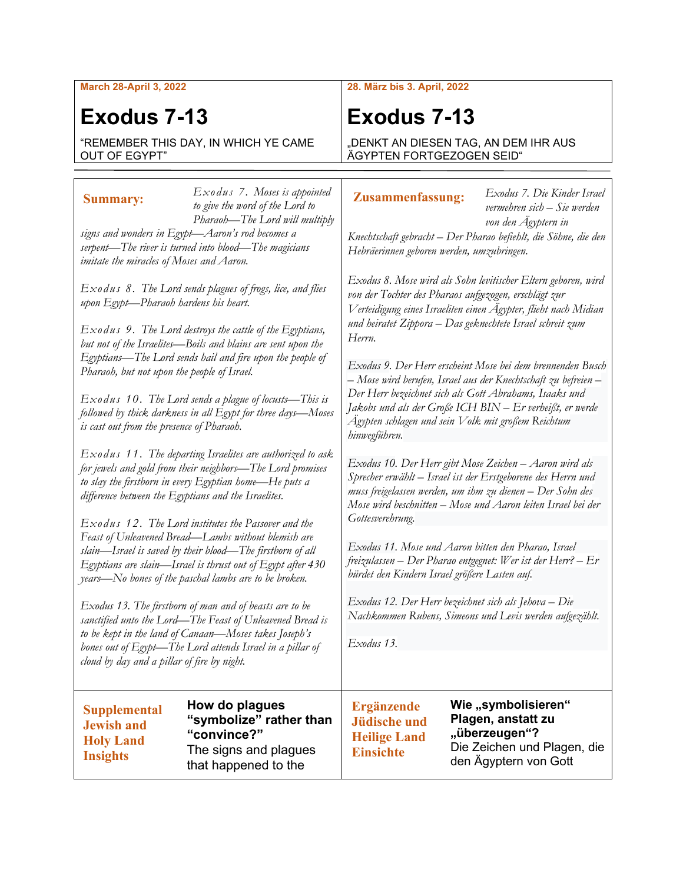**March 28-April 3, 2022**

# **Exodus 7-13**

"REMEMBER THIS DAY, IN WHICH YE CAME OUT OF EGYPT"

### *Exodus 7. Moses is appointed to give the word of the Lord to Pharaoh—The Lord will multiply*  **Summary:**

*signs and wonders in Egypt—Aaron's rod becomes a serpent—The river is turned into blood—The magicians imitate the miracles of Moses and Aaron.*

*Exodus 8. The Lord sends plagues of frogs, lice, and flies upon Egypt—Pharaoh hardens his heart.*

*Exodus 9. The Lord destroys the cattle of the Egyptians, but not of the Israelites—Boils and blains are sent upon the Egyptians—The Lord sends hail and fire upon the people of Pharaoh, but not upon the people of Israel.*

*Exodus 10. The Lord sends a plague of locusts—This is followed by thick darkness in all Egypt for three days—Moses is cast out from the presence of Pharaoh.*

*Exodus 11. The departing Israelites are authorized to ask for jewels and gold from their neighbors—The Lord promises to slay the firstborn in every Egyptian home—He puts a difference between the Egyptians and the Israelites.*

*Exodus 12. The Lord institutes the Passover and the Feast of Unleavened Bread—Lambs without blemish are slain—Israel is saved by their blood—The firstborn of all Egyptians are slain—Israel is thrust out of Egypt after 430 years—No bones of the paschal lambs are to be broken.*

*Exodus 13. The firstborn of man and of beasts are to be sanctified unto the Lord—The Feast of Unleavened Bread is to be kept in the land of Canaan—Moses takes Joseph's bones out of Egypt—The Lord attends Israel in a pillar of cloud by day and a pillar of fire by night.*

**Supplemental Jewish and Holy Land Insights**

**How do plagues "symbolize" rather than "convince?"** The signs and plagues that happened to the

#### **28. März bis 3. April, 2022**

## **Exodus 7-13**

DENKT AN DIESEN TAG, AN DEM IHR AUS ÄGYPTEN FORTGEZOGEN SEID"

#### **Zusammenfassung:**

*Exodus 7. Die Kinder Israel vermehren sich – Sie werden von den Ägyptern in* 

*Knechtschaft gebracht – Der Pharao befiehlt, die Söhne, die den Hebräerinnen geboren werden, umzubringen.*

*Exodus 8. Mose wird als Sohn levitischer Eltern geboren, wird von der Tochter des Pharaos aufgezogen, erschlägt zur Verteidigung eines Israeliten einen Ägypter, flieht nach Midian und heiratet Zippora – Das geknechtete Israel schreit zum Herrn.*

*Exodus 9. Der Herr erscheint Mose bei dem brennenden Busch – Mose wird berufen, Israel aus der Knechtschaft zu befreien – Der Herr bezeichnet sich als Gott Abrahams, Isaaks und Jakobs und als der Große ICH BIN – Er verheißt, er werde Ägypten schlagen und sein Volk mit großem Reichtum hinwegführen.*

*Exodus 10. Der Herr gibt Mose Zeichen – Aaron wird als Sprecher erwählt – Israel ist der Erstgeborene des Herrn und muss freigelassen werden, um ihm zu dienen – Der Sohn des Mose wird beschnitten – Mose und Aaron leiten Israel bei der Gottesverehrung.*

*Exodus 11. Mose und Aaron bitten den Pharao, Israel freizulassen – Der Pharao entgegnet: Wer ist der Herr? – Er bürdet den Kindern Israel größere Lasten auf.*

*Exodus 12. Der Herr bezeichnet sich als Jehova – Die Nachkommen Rubens, Simeons und Levis werden aufgezählt.*

*Exodus 13.* 

**Ergänzende Jüdische und Heilige Land Einsichte**

Wie "symbolisieren" **Plagen, anstatt zu "überzeugen"?** Die Zeichen und Plagen, die den Ägyptern von Gott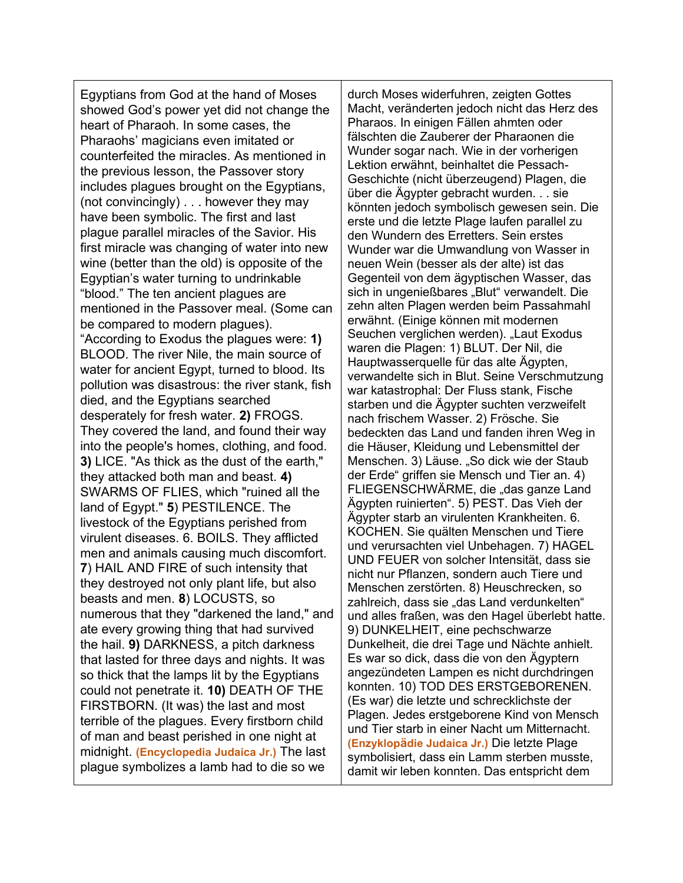Egyptians from God at the hand of Moses showed God's power yet did not change the heart of Pharaoh. In some cases, the Pharaohs' magicians even imitated or counterfeited the miracles. As mentioned in the previous lesson, the Passover story includes plagues brought on the Egyptians, (not convincingly) . . . however they may have been symbolic. The first and last plague parallel miracles of the Savior. His first miracle was changing of water into new wine (better than the old) is opposite of the Egyptian's water turning to undrinkable "blood." The ten ancient plagues are mentioned in the Passover meal. (Some can be compared to modern plagues). "According to Exodus the plagues were: **1)** BLOOD. The river Nile, the main source of water for ancient Egypt, turned to blood. Its pollution was disastrous: the river stank, fish died, and the Egyptians searched desperately for fresh water. **2)** FROGS. They covered the land, and found their way into the people's homes, clothing, and food. **3)** LICE. "As thick as the dust of the earth," they attacked both man and beast. **4)** SWARMS OF FLIES, which "ruined all the land of Egypt." **5**) PESTILENCE. The livestock of the Egyptians perished from virulent diseases. 6. BOILS. They afflicted men and animals causing much discomfort. **7**) HAIL AND FIRE of such intensity that they destroyed not only plant life, but also beasts and men. **8**) LOCUSTS, so numerous that they "darkened the land," and ate every growing thing that had survived the hail. **9)** DARKNESS, a pitch darkness that lasted for three days and nights. It was so thick that the lamps lit by the Egyptians could not penetrate it. **10)** DEATH OF THE FIRSTBORN. (It was) the last and most terrible of the plagues. Every firstborn child of man and beast perished in one night at midnight. **(Encyclopedia Judaica Jr.)** The last plague symbolizes a lamb had to die so we

durch Moses widerfuhren, zeigten Gottes Macht, veränderten jedoch nicht das Herz des Pharaos. In einigen Fällen ahmten oder fälschten die Zauberer der Pharaonen die Wunder sogar nach. Wie in der vorherigen Lektion erwähnt, beinhaltet die Pessach-Geschichte (nicht überzeugend) Plagen, die über die Ägypter gebracht wurden. . . sie könnten jedoch symbolisch gewesen sein. Die erste und die letzte Plage laufen parallel zu den Wundern des Erretters. Sein erstes Wunder war die Umwandlung von Wasser in neuen Wein (besser als der alte) ist das Gegenteil von dem ägyptischen Wasser, das sich in ungenießbares "Blut" verwandelt. Die zehn alten Plagen werden beim Passahmahl erwähnt. (Einige können mit modernen Seuchen verglichen werden). "Laut Exodus waren die Plagen: 1) BLUT. Der Nil, die Hauptwasserquelle für das alte Ägypten, verwandelte sich in Blut. Seine Verschmutzung war katastrophal: Der Fluss stank, Fische starben und die Ägypter suchten verzweifelt nach frischem Wasser. 2) Frösche. Sie bedeckten das Land und fanden ihren Weg in die Häuser, Kleidung und Lebensmittel der Menschen. 3) Läuse. "So dick wie der Staub der Erde" griffen sie Mensch und Tier an. 4) FLIEGENSCHWÄRME, die "das ganze Land Ägypten ruinierten". 5) PEST. Das Vieh der Ägypter starb an virulenten Krankheiten. 6. KOCHEN. Sie quälten Menschen und Tiere und verursachten viel Unbehagen. 7) HAGEL UND FEUER von solcher Intensität, dass sie nicht nur Pflanzen, sondern auch Tiere und Menschen zerstörten. 8) Heuschrecken, so zahlreich, dass sie "das Land verdunkelten" und alles fraßen, was den Hagel überlebt hatte. 9) DUNKELHEIT, eine pechschwarze Dunkelheit, die drei Tage und Nächte anhielt. Es war so dick, dass die von den Ägyptern angezündeten Lampen es nicht durchdringen konnten. 10) TOD DES ERSTGEBORENEN. (Es war) die letzte und schrecklichste der Plagen. Jedes erstgeborene Kind von Mensch und Tier starb in einer Nacht um Mitternacht. **(Enzyklopädie Judaica Jr.)** Die letzte Plage symbolisiert, dass ein Lamm sterben musste, damit wir leben konnten. Das entspricht dem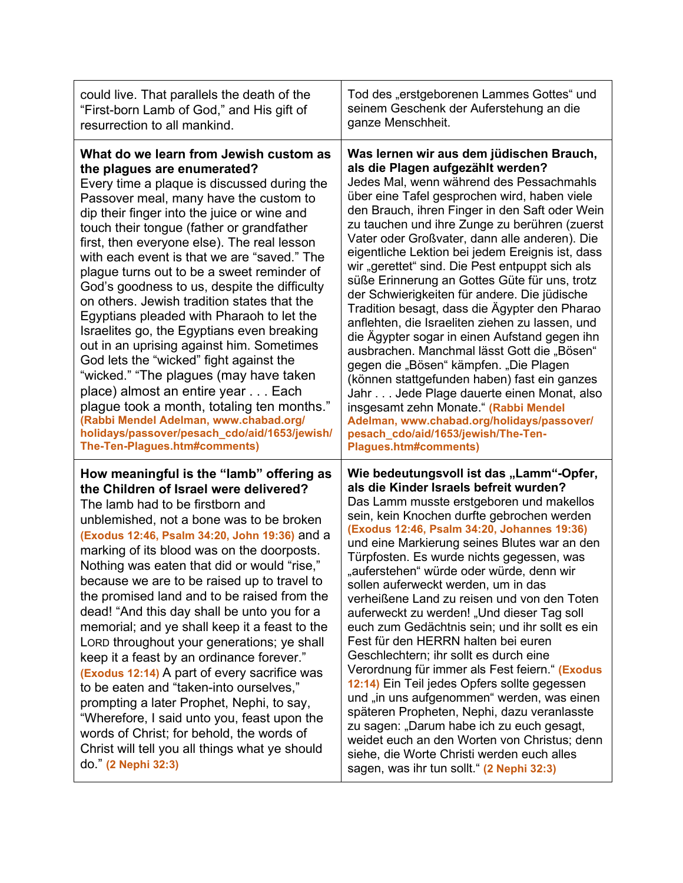| could live. That parallels the death of the<br>"First-born Lamb of God," and His gift of<br>resurrection to all mankind.                                                                                                                                                                                                                                                                                                                                                                                                                                                                                                                                                                                                                                                                                                                                                                                                                          | Tod des "erstgeborenen Lammes Gottes" und<br>seinem Geschenk der Auferstehung an die<br>ganze Menschheit.                                                                                                                                                                                                                                                                                                                                                                                                                                                                                                                                                                                                                                                                                                                                                                                                                                                                                                                                      |
|---------------------------------------------------------------------------------------------------------------------------------------------------------------------------------------------------------------------------------------------------------------------------------------------------------------------------------------------------------------------------------------------------------------------------------------------------------------------------------------------------------------------------------------------------------------------------------------------------------------------------------------------------------------------------------------------------------------------------------------------------------------------------------------------------------------------------------------------------------------------------------------------------------------------------------------------------|------------------------------------------------------------------------------------------------------------------------------------------------------------------------------------------------------------------------------------------------------------------------------------------------------------------------------------------------------------------------------------------------------------------------------------------------------------------------------------------------------------------------------------------------------------------------------------------------------------------------------------------------------------------------------------------------------------------------------------------------------------------------------------------------------------------------------------------------------------------------------------------------------------------------------------------------------------------------------------------------------------------------------------------------|
| What do we learn from Jewish custom as<br>the plagues are enumerated?<br>Every time a plaque is discussed during the<br>Passover meal, many have the custom to<br>dip their finger into the juice or wine and<br>touch their tongue (father or grandfather<br>first, then everyone else). The real lesson<br>with each event is that we are "saved." The<br>plague turns out to be a sweet reminder of<br>God's goodness to us, despite the difficulty<br>on others. Jewish tradition states that the<br>Egyptians pleaded with Pharaoh to let the<br>Israelites go, the Egyptians even breaking<br>out in an uprising against him. Sometimes<br>God lets the "wicked" fight against the<br>"wicked." "The plagues (may have taken<br>place) almost an entire year Each<br>plague took a month, totaling ten months."<br>(Rabbi Mendel Adelman, www.chabad.org/<br>holidays/passover/pesach_cdo/aid/1653/jewish/<br>The-Ten-Plagues.htm#comments) | Was lernen wir aus dem jüdischen Brauch,<br>als die Plagen aufgezählt werden?<br>Jedes Mal, wenn während des Pessachmahls<br>über eine Tafel gesprochen wird, haben viele<br>den Brauch, ihren Finger in den Saft oder Wein<br>zu tauchen und ihre Zunge zu berühren (zuerst<br>Vater oder Großvater, dann alle anderen). Die<br>eigentliche Lektion bei jedem Ereignis ist, dass<br>wir "gerettet" sind. Die Pest entpuppt sich als<br>süße Erinnerung an Gottes Güte für uns, trotz<br>der Schwierigkeiten für andere. Die jüdische<br>Tradition besagt, dass die Ägypter den Pharao<br>anflehten, die Israeliten ziehen zu lassen, und<br>die Ägypter sogar in einen Aufstand gegen ihn<br>ausbrachen. Manchmal lässt Gott die "Bösen"<br>gegen die "Bösen" kämpfen. "Die Plagen<br>(können stattgefunden haben) fast ein ganzes<br>Jahr Jede Plage dauerte einen Monat, also<br>insgesamt zehn Monate." (Rabbi Mendel<br>Adelman, www.chabad.org/holidays/passover/<br>pesach_cdo/aid/1653/jewish/The-Ten-<br><b>Plagues.htm#comments)</b> |
| How meaningful is the "lamb" offering as<br>the Children of Israel were delivered?<br>The lamb had to be firstborn and<br>unblemished, not a bone was to be broken<br>(Exodus 12:46, Psalm 34:20, John 19:36) and a<br>marking of its blood was on the doorposts.<br>Nothing was eaten that did or would "rise,"<br>because we are to be raised up to travel to<br>the promised land and to be raised from the<br>dead! "And this day shall be unto you for a<br>memorial; and ye shall keep it a feast to the<br>LORD throughout your generations; ye shall<br>keep it a feast by an ordinance forever."<br>(Exodus 12:14) A part of every sacrifice was<br>to be eaten and "taken-into ourselves,"<br>prompting a later Prophet, Nephi, to say,<br>"Wherefore, I said unto you, feast upon the<br>words of Christ; for behold, the words of<br>Christ will tell you all things what ye should<br>do." (2 Nephi 32:3)                            | Wie bedeutungsvoll ist das "Lamm"-Opfer,<br>als die Kinder Israels befreit wurden?<br>Das Lamm musste erstgeboren und makellos<br>sein, kein Knochen durfte gebrochen werden<br>(Exodus 12:46, Psalm 34:20, Johannes 19:36)<br>und eine Markierung seines Blutes war an den<br>Türpfosten. Es wurde nichts gegessen, was<br>"auferstehen" würde oder würde, denn wir<br>sollen auferweckt werden, um in das<br>verheißene Land zu reisen und von den Toten<br>auferweckt zu werden! "Und dieser Tag soll<br>euch zum Gedächtnis sein; und ihr sollt es ein<br>Fest für den HERRN halten bei euren<br>Geschlechtern; ihr sollt es durch eine<br>Verordnung für immer als Fest feiern." (Exodus<br>12:14) Ein Teil jedes Opfers sollte gegessen<br>und "in uns aufgenommen" werden, was einen<br>späteren Propheten, Nephi, dazu veranlasste<br>zu sagen: "Darum habe ich zu euch gesagt,<br>weidet euch an den Worten von Christus; denn<br>siehe, die Worte Christi werden euch alles<br>sagen, was ihr tun sollt." (2 Nephi 32:3)             |